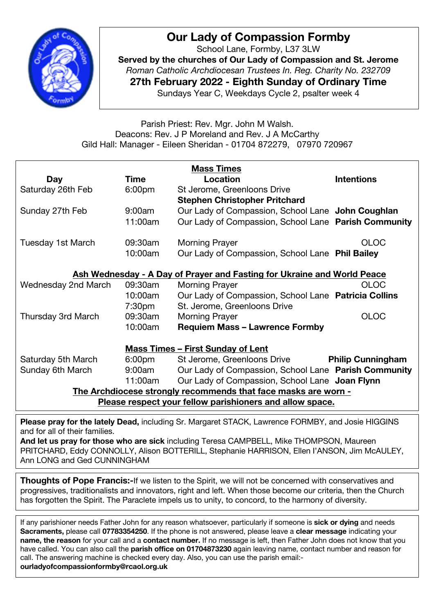

# **Our Lady of Compassion Formby**

School Lane, Formby, L37 3LW **Served by the churches of Our Lady of Compassion and St. Jerome** *Roman Catholic Archdiocesan Trustees In. Reg. Charity No. 232709* **27th February 2022 - Eighth Sunday of Ordinary Time** Sundays Year C, Weekdays Cycle 2, psalter week 4

Parish Priest: Rev. Mgr. John M Walsh. Deacons: Rev. J P Moreland and Rev. J A McCarthy Gild Hall: Manager - Eileen Sheridan - 01704 872279, 07970 720967

|                                          |                    | <b>Mass Times</b>                                                       |                                                                                                                      |  |
|------------------------------------------|--------------------|-------------------------------------------------------------------------|----------------------------------------------------------------------------------------------------------------------|--|
| <b>Day</b>                               | <b>Time</b>        | Location                                                                | <b>Intentions</b>                                                                                                    |  |
| Saturday 26th Feb                        | 6:00 <sub>pm</sub> | St Jerome, Greenloons Drive                                             |                                                                                                                      |  |
|                                          |                    | <b>Stephen Christopher Pritchard</b>                                    |                                                                                                                      |  |
| Sunday 27th Feb                          | 9:00am             | Our Lady of Compassion, School Lane John Coughlan                       |                                                                                                                      |  |
|                                          | 11:00am            | Our Lady of Compassion, School Lane Parish Community                    |                                                                                                                      |  |
| Tuesday 1st March                        | 09:30am            | <b>Morning Prayer</b>                                                   | <b>OLOC</b>                                                                                                          |  |
|                                          | 10:00am            | Our Lady of Compassion, School Lane Phil Bailey                         |                                                                                                                      |  |
|                                          |                    | Ash Wednesday - A Day of Prayer and Fasting for Ukraine and World Peace |                                                                                                                      |  |
| Wednesday 2nd March                      | 09:30am            | <b>Morning Prayer</b>                                                   | <b>OLOC</b>                                                                                                          |  |
|                                          | 10:00am            | Our Lady of Compassion, School Lane Patricia Collins                    |                                                                                                                      |  |
|                                          | 7:30pm             | St. Jerome, Greenloons Drive                                            |                                                                                                                      |  |
| Thursday 3rd March                       | 09:30am            | <b>Morning Prayer</b>                                                   | <b>OLOC</b>                                                                                                          |  |
|                                          | 10:00am            | <b>Requiem Mass - Lawrence Formby</b>                                   |                                                                                                                      |  |
| <b>Mass Times - First Sunday of Lent</b> |                    |                                                                         |                                                                                                                      |  |
| Saturday 5th March                       | 6:00 <sub>pm</sub> | St Jerome, Greenloons Drive                                             | <b>Philip Cunningham</b>                                                                                             |  |
| Sunday 6th March                         | 9:00am             | Our Lady of Compassion, School Lane Parish Community                    |                                                                                                                      |  |
|                                          | 11:00am            | Our Lady of Compassion, School Lane Joan Flynn                          |                                                                                                                      |  |
|                                          |                    | The Archdiocese strongly recommends that face masks are worn -          |                                                                                                                      |  |
|                                          |                    | Please respect your fellow parishioners and allow space.                |                                                                                                                      |  |
|                                          | $\blacksquare$     |                                                                         | $\mathbf{1}$ $\mathbf{1}$ $\mathbf{1}$ $\mathbf{1}$ $\mathbf{1}$ $\mathbf{1}$ $\mathbf{1}$ $\mathbf{1}$ $\mathbf{1}$ |  |

**Please pray for the lately Dead,** including Sr. Margaret STACK, Lawrence FORMBY, and Josie HIGGINS and for all of their families.

**And let us pray for those who are sick** including Teresa CAMPBELL, Mike THOMPSON, Maureen PRITCHARD, Eddy CONNOLLY, Alison BOTTERILL, Stephanie HARRISON, Ellen I'ANSON, Jim McAULEY, Ann LONG and Ged CUNNINGHAM

**Thoughts of Pope Francis:-**If we listen to the Spirit, we will not be concerned with conservatives and progressives, traditionalists and innovators, right and left. When those become our criteria, then the Church has forgotten the Spirit. The Paraclete impels us to unity, to concord, to the harmony of diversity.

call. The answering machine is checked every day. Also, you can use the parish email:-If any parishioner needs Father John for any reason whatsoever, particularly if someone is **sick or dying** and needs **Sacraments,** please call **07783354250**. If the phone is not answered, please leave a **clear message** indicating your **name, the reason** for your call and a **contact number.** If no message is left, then Father John does not know that you have called. You can also call the **parish office on 01704873230** again leaving name, contact number and reason for **ourladyofcompassionformby@rcaol.org.uk**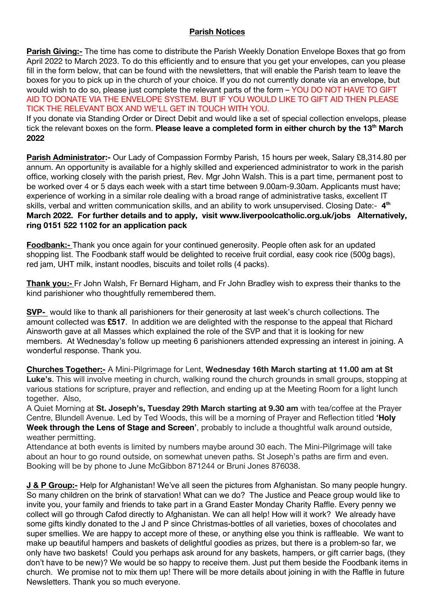#### **Parish Notices**

**Parish Giving:-** The time has come to distribute the Parish Weekly Donation Envelope Boxes that go from April 2022 to March 2023. To do this efficiently and to ensure that you get your envelopes, can you please fill in the form below, that can be found with the newsletters, that will enable the Parish team to leave the boxes for you to pick up in the church of your choice. If you do not currently donate via an envelope, but would wish to do so, please just complete the relevant parts of the form – YOU DO NOT HAVE TO GIFT AID TO DONATE VIA THE ENVELOPE SYSTEM. BUT IF YOU WOULD LIKE TO GIFT AID THEN PLEASE TICK THE RELEVANT BOX AND WE'LL GET IN TOUCH WITH YOU.

If you donate via Standing Order or Direct Debit and would like a set of special collection envelops, please tick the relevant boxes on the form. **Please leave a completed form in either church by the 13th March 2022**

**Parish Administrator:-** Our Lady of Compassion Formby Parish, 15 hours per week, Salary £8,314.80 per annum. An opportunity is available for a highly skilled and experienced administrator to work in the parish office, working closely with the parish priest, Rev. Mgr John Walsh. This is a part time, permanent post to be worked over 4 or 5 days each week with a start time between 9.00am-9.30am. Applicants must have; experience of working in a similar role dealing with a broad range of administrative tasks, excellent IT skills, verbal and written communication skills, and an ability to work unsupervised. Closing Date:- 4<sup>th</sup> **March 2022. For further details and to apply, visit www.liverpoolcatholic.org.uk/jobs Alternatively, ring 0151 522 1102 for an application pack**

**Foodbank:-** Thank you once again for your continued generosity. People often ask for an updated shopping list. The Foodbank staff would be delighted to receive fruit cordial, easy cook rice (500g bags), red jam, UHT milk, instant noodles, biscuits and toilet rolls (4 packs).

**Thank you:-** Fr John Walsh, Fr Bernard Higham, and Fr John Bradley wish to express their thanks to the kind parishioner who thoughtfully remembered them.

**SVP-** would like to thank all parishioners for their generosity at last week's church collections. The amount collected was **£517**. In addition we are delighted with the response to the appeal that Richard Ainsworth gave at all Masses which explained the role of the SVP and that it is looking for new members. At Wednesday's follow up meeting 6 parishioners attended expressing an interest in joining. A wonderful response. Thank you.

**Churches Together:-** A Mini-Pilgrimage for Lent, **Wednesday 16th March starting at 11.00 am at St Luke's**. This will involve meeting in church, walking round the church grounds in small groups, stopping at various stations for scripture, prayer and reflection, and ending up at the Meeting Room for a light lunch together. Also,

A Quiet Morning at **St. Joseph's, Tuesday 29th March starting at 9.30 am** with tea/coffee at the Prayer Centre, Blundell Avenue. Led by Ted Woods, this will be a morning of Prayer and Reflection titled **'Holy Week through the Lens of Stage and Screen'**, probably to include a thoughtful walk around outside, weather permitting.

Attendance at both events is limited by numbers maybe around 30 each. The Mini-Pilgrimage will take about an hour to go round outside, on somewhat uneven paths. St Joseph's paths are firm and even. Booking will be by phone to June McGibbon 871244 or Bruni Jones 876038.

**J & P Group:-** Help for Afghanistan! We've all seen the pictures from Afghanistan. So many people hungry. So many children on the brink of starvation! What can we do? The Justice and Peace group would like to invite you, your family and friends to take part in a Grand Easter Monday Charity Raffle. Every penny we collect will go through Cafod directly to Afghanistan. We can all help! How will it work? We already have some gifts kindly donated to the J and P since Christmas-bottles of all varieties, boxes of chocolates and super smellies. We are happy to accept more of these, or anything else you think is raffleable. We want to make up beautiful hampers and baskets of delightful goodies as prizes, but there is a problem-so far, we only have two baskets! Could you perhaps ask around for any baskets, hampers, or gift carrier bags, (they don't have to be new)? We would be so happy to receive them. Just put them beside the Foodbank items in church. We promise not to mix them up! There will be more details about joining in with the Raffle in future Newsletters. Thank you so much everyone.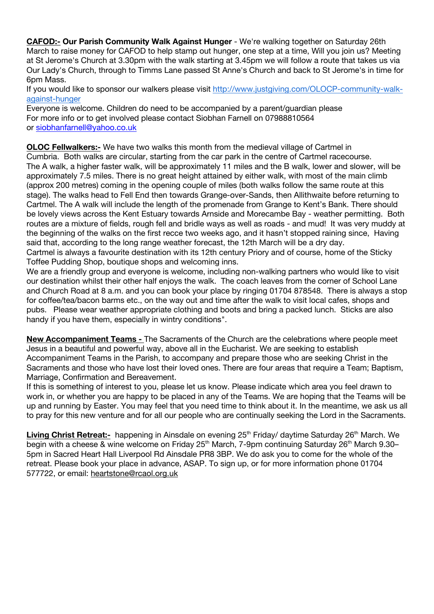**CAFOD:- Our Parish Community Walk Against Hunger** - We're walking together on Saturday 26th March to raise money for CAFOD to help stamp out hunger, one step at a time, Will you join us? Meeting at St Jerome's Church at 3.30pm with the walk starting at 3.45pm we will follow a route that takes us via Our Lady's Church, through to Timms Lane passed St Anne's Church and back to St Jerome's in time for 6pm Mass.

If you would like to sponsor our walkers please visit http://www.justgiving.com/OLOCP-community-walkagainst-hunger

Everyone is welcome. Children do need to be accompanied by a parent/guardian please For more info or to get involved please contact Siobhan Farnell on 07988810564 or siobhanfarnell@yahoo.co.uk

**OLOC Fellwalkers:-** We have two walks this month from the medieval village of Cartmel in Cumbria. Both walks are circular, starting from the car park in the centre of Cartmel racecourse. The A walk, a higher faster walk, will be approximately 11 miles and the B walk, lower and slower, will be approximately 7.5 miles. There is no great height attained by either walk, with most of the main climb (approx 200 metres) coming in the opening couple of miles (both walks follow the same route at this stage). The walks head to Fell End then towards Grange-over-Sands, then Allithwaite before returning to Cartmel. The A walk will include the length of the promenade from Grange to Kent's Bank. There should be lovely views across the Kent Estuary towards Arnside and Morecambe Bay - weather permitting. Both routes are a mixture of fields, rough fell and bridle ways as well as roads - and mud! It was very muddy at the beginning of the walks on the first recce two weeks ago, and it hasn't stopped raining since, Having said that, according to the long range weather forecast, the 12th March will be a dry day. Cartmel is always a favourite destination with its 12th century Priory and of course, home of the Sticky

Toffee Pudding Shop, boutique shops and welcoming inns.

We are a friendly group and everyone is welcome, including non-walking partners who would like to visit our destination whilst their other half enjoys the walk. The coach leaves from the corner of School Lane and Church Road at 8 a.m. and you can book your place by ringing 01704 878548. There is always a stop for coffee/tea/bacon barms etc., on the way out and time after the walk to visit local cafes, shops and pubs. Please wear weather appropriate clothing and boots and bring a packed lunch. Sticks are also handy if you have them, especially in wintry conditions".

**New Accompaniment Teams -** The Sacraments of the Church are the celebrations where people meet Jesus in a beautiful and powerful way, above all in the Eucharist. We are seeking to establish Accompaniment Teams in the Parish, to accompany and prepare those who are seeking Christ in the Sacraments and those who have lost their loved ones. There are four areas that require a Team; Baptism, Marriage, Confirmation and Bereavement.

If this is something of interest to you, please let us know. Please indicate which area you feel drawn to work in, or whether you are happy to be placed in any of the Teams. We are hoping that the Teams will be up and running by Easter. You may feel that you need time to think about it. In the meantime, we ask us all to pray for this new venture and for all our people who are continually seeking the Lord in the Sacraments.

Living Christ Retreat:- happening in Ainsdale on evening 25<sup>th</sup> Friday/ daytime Saturday 26<sup>th</sup> March. We begin with a cheese & wine welcome on Friday  $25<sup>th</sup>$  March, 7-9pm continuing Saturday  $26<sup>th</sup>$  March 9.30– 5pm in Sacred Heart Hall Liverpool Rd Ainsdale PR8 3BP. We do ask you to come for the whole of the retreat. Please book your place in advance, ASAP. To sign up, or for more information phone 01704 577722, or email: heartstone@rcaol.org.uk